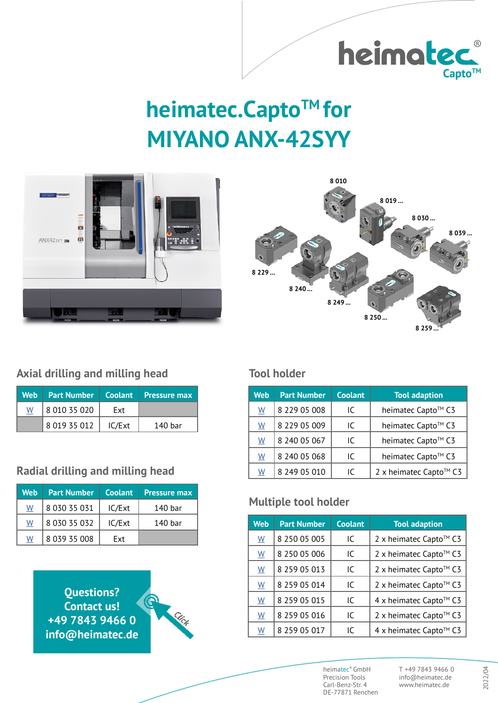

# **heimatec.Capto™ for MIYANO ANX-42SYY**





### **Axial drilling and milling head**

|   | Web Part Number   Coolant   Pressure max |        |         |
|---|------------------------------------------|--------|---------|
| W | 8 010 35 020                             | Ext    |         |
|   | 8 019 35 012                             | IC/Ext | 140 har |

### **Radial drilling and milling head**

| Web | <b>Part Number</b> | <b>Coolant</b> | <b>Pressure max</b> |
|-----|--------------------|----------------|---------------------|
| W   | 8 030 35 031       | IC/Ext         | 140 bar             |
| W   | 8 030 35 032       | IC/Ext         | 140 bar             |
| W   | 8 039 35 008       | Fxt            |                     |

**Questions? Contact us! +49 7843 9466 0 [info@heimatec.de](mailto:info%40heimatec.de?subject=heimatec.Capto%5BTM%5D%20tools%20for%20MIYANO%20ANX-42SYY)**



#### **Tool holder**

| Web                      | <b>Part Number</b> | Coolant | <b>Tool adaption</b>   |
|--------------------------|--------------------|---------|------------------------|
| $\underline{\mathsf{W}}$ | 8 229 05 008       | IC      | heimatec Capto™ C3     |
| W                        | 8 229 05 009       | IC      | heimatec Capto™ C3     |
| W                        | 8 240 05 067       | IC      | heimatec Capto™ C3     |
| $\underline{\mathsf{W}}$ | 8 240 05 068       | IC      | heimatec Capto™ C3     |
| <u>W</u>                 | 8 249 05 010       | IC      | 2 x heimatec Capto™ C3 |

### **Multiple tool holder**

| <b>Web</b>               | <b>Part Number</b> | <b>Coolant</b> | <b>Tool adaption</b>   |
|--------------------------|--------------------|----------------|------------------------|
| W                        | 8 250 05 005       | IC             | 2 x heimatec Capto™ C3 |
| $\underline{\mathsf{W}}$ | 8 250 05 006       | IC             | 2 x heimatec Capto™ C3 |
| $\underline{\mathsf{W}}$ | 8 259 05 013       | IC             | 2 x heimatec Capto™ C3 |
| $\underline{\mathsf{W}}$ | 8 259 05 014       | IC             | 2 x heimatec Capto™ C3 |
| $\underline{W}$          | 8 259 05 015       | IC             | 4 x heimatec Capto™ C3 |
| W                        | 8 259 05 016       | IC             | 2 x heimatec Capto™ C3 |
| $\underline{\mathsf{W}}$ | 8 259 05 017       | IC             | 4 x heimatec Capto™ C3 |

heimatec® GmbH Precision Tools Carl-Benz-Str. 4 DE-77871 Renchen